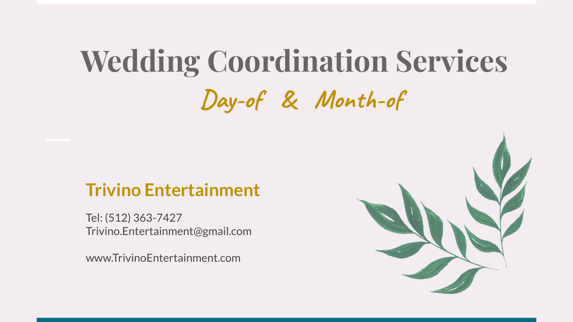# **Wedding Coordination Services Day-of & Month-of**

### **Trivino Entertainment**

Tel: (512) 363-7427 [Trivino.Entertainment@gmail.com](mailto:Trivino.Entertainment@gmail.com)

www.TrivinoEntertainment.com

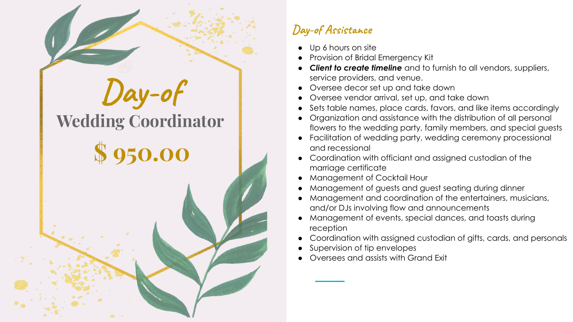

### **Day-of Assistance**

- Up 6 hours on site
- Provision of Bridal Emergency Kit
- *Client to create timeline* and to furnish to all vendors, suppliers, service providers, and venue.
- Oversee decor set up and take down
- Oversee vendor arrival, set up, and take down
- Sets table names, place cards, favors, and like items accordingly
- Organization and assistance with the distribution of all personal flowers to the wedding party, family members, and special guests
- Facilitation of wedding party, wedding ceremony processional and recessional
- Coordination with officiant and assigned custodian of the marriage certificate
- **Management of Cocktail Hour**
- Management of guests and guest seating during dinner
- Management and coordination of the entertainers, musicians, and/or DJs involving flow and announcements
- Management of events, special dances, and toasts during reception
- Coordination with assigned custodian of gifts, cards, and personals
- Supervision of tip envelopes
- Oversees and assists with Grand Exit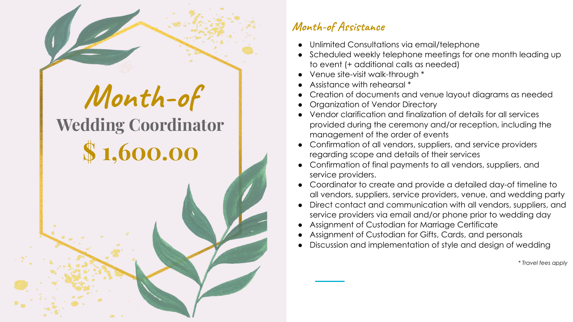

## **Month-of Wedding Coordinator**

## **\$ 1,600.00**

#### **Month-of Assistance**

- Unlimited Consultations via email/telephone
- Scheduled weekly telephone meetings for one month leading up to event (+ additional calls as needed)
- Venue site-visit walk-through \*
- Assistance with rehearsal \*
- Creation of documents and venue layout diagrams as needed
- Organization of Vendor Directory
- Vendor clarification and finalization of details for all services provided during the ceremony and/or reception, including the management of the order of events
- Confirmation of all vendors, suppliers, and service providers regarding scope and details of their services
- Confirmation of final payments to all vendors, suppliers, and service providers.
- Coordinator to create and provide a detailed day-of timeline to all vendors, suppliers, service providers, venue, and wedding party
- Direct contact and communication with all vendors, suppliers, and service providers via email and/or phone prior to wedding day
- Assignment of Custodian for Marriage Certificate
- Assignment of Custodian for Gifts, Cards, and personals
- Discussion and implementation of style and design of wedding

*\* Travel fees apply*